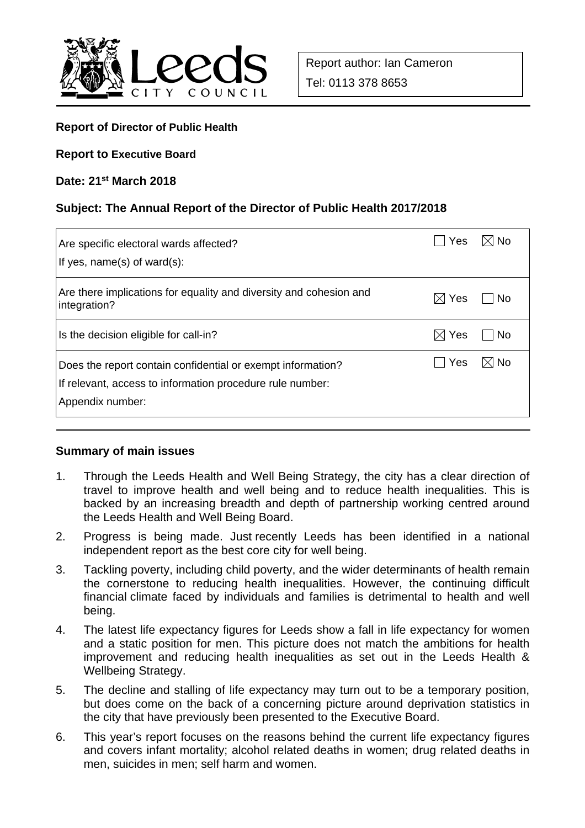

### **Report of Director of Public Health**

**Report to Executive Board**

#### **Date: 21st March 2018**

#### **Subject: The Annual Report of the Director of Public Health 2017/2018**

| Are specific electoral wards affected?<br>If yes, $name(s)$ of ward $(s)$ :                                                                  | Yes             | (l No          |
|----------------------------------------------------------------------------------------------------------------------------------------------|-----------------|----------------|
| Are there implications for equality and diversity and cohesion and<br>integration?                                                           | Yes             | No             |
| Is the decision eligible for call-in?                                                                                                        | $\boxtimes$ Yes | ∣No            |
| Does the report contain confidential or exempt information?<br>If relevant, access to information procedure rule number:<br>Appendix number: | Yes             | $\boxtimes$ No |

#### **Summary of main issues**

- 1. Through the Leeds Health and Well Being Strategy, the city has a clear direction of travel to improve health and well being and to reduce health inequalities. This is backed by an increasing breadth and depth of partnership working centred around the Leeds Health and Well Being Board.
- 2. Progress is being made. Just recently Leeds has been identified in a national independent report as the best core city for well being.
- 3. Tackling poverty, including child poverty, and the wider determinants of health remain the cornerstone to reducing health inequalities. However, the continuing difficult financial climate faced by individuals and families is detrimental to health and well being.
- 4. The latest life expectancy figures for Leeds show a fall in life expectancy for women and a static position for men. This picture does not match the ambitions for health improvement and reducing health inequalities as set out in the Leeds Health & Wellbeing Strategy.
- 5. The decline and stalling of life expectancy may turn out to be a temporary position, but does come on the back of a concerning picture around deprivation statistics in the city that have previously been presented to the Executive Board.
- 6. This year's report focuses on the reasons behind the current life expectancy figures and covers infant mortality; alcohol related deaths in women; drug related deaths in men, suicides in men; self harm and women.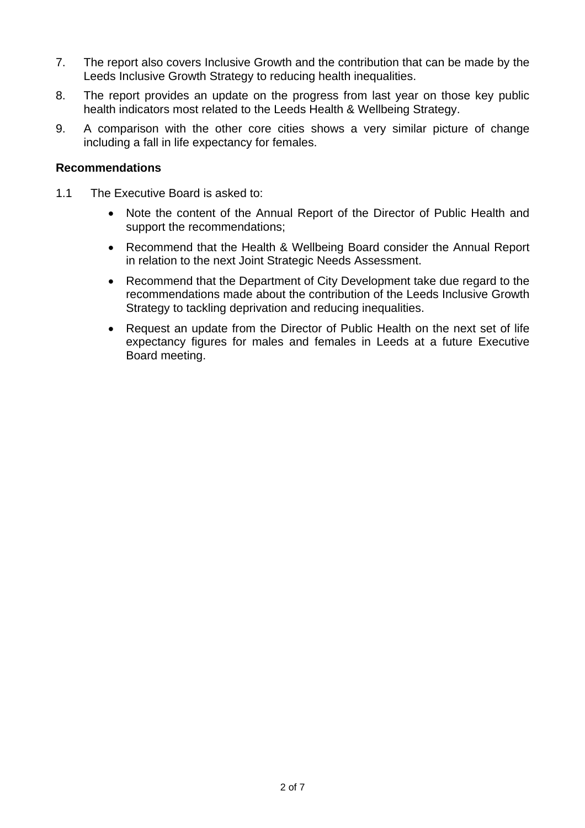- 7. The report also covers Inclusive Growth and the contribution that can be made by the Leeds Inclusive Growth Strategy to reducing health inequalities.
- 8. The report provides an update on the progress from last year on those key public health indicators most related to the Leeds Health & Wellbeing Strategy.
- 9. A comparison with the other core cities shows a very similar picture of change including a fall in life expectancy for females.

### **Recommendations**

- 1.1 The Executive Board is asked to:
	- Note the content of the Annual Report of the Director of Public Health and support the recommendations;
	- Recommend that the Health & Wellbeing Board consider the Annual Report in relation to the next Joint Strategic Needs Assessment.
	- Recommend that the Department of City Development take due regard to the recommendations made about the contribution of the Leeds Inclusive Growth Strategy to tackling deprivation and reducing inequalities.
	- Request an update from the Director of Public Health on the next set of life expectancy figures for males and females in Leeds at a future Executive Board meeting.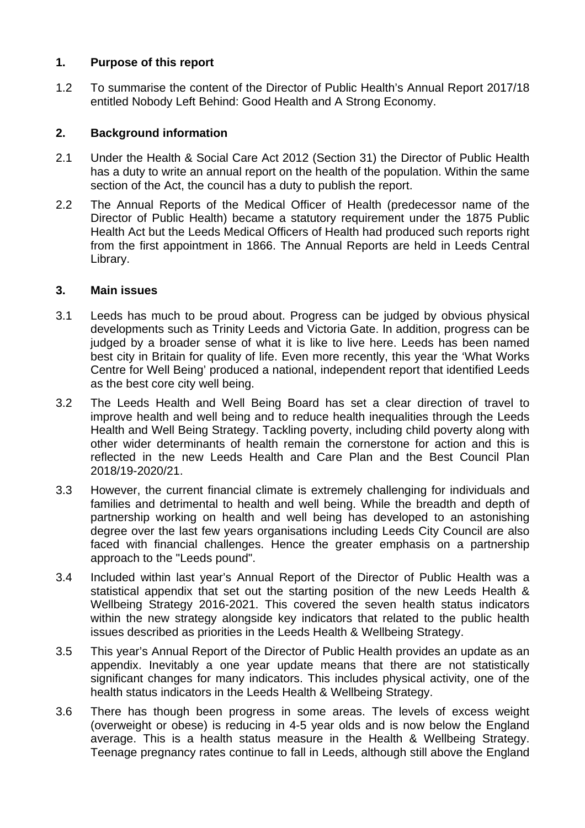## **1. Purpose of this report**

1.2 To summarise the content of the Director of Public Health's Annual Report 2017/18 entitled Nobody Left Behind: Good Health and A Strong Economy.

## **2. Background information**

- 2.1 Under the Health & Social Care Act 2012 (Section 31) the Director of Public Health has a duty to write an annual report on the health of the population. Within the same section of the Act, the council has a duty to publish the report.
- 2.2 The Annual Reports of the Medical Officer of Health (predecessor name of the Director of Public Health) became a statutory requirement under the 1875 Public Health Act but the Leeds Medical Officers of Health had produced such reports right from the first appointment in 1866. The Annual Reports are held in Leeds Central Library.

### **3. Main issues**

- 3.1 Leeds has much to be proud about. Progress can be judged by obvious physical developments such as Trinity Leeds and Victoria Gate. In addition, progress can be judged by a broader sense of what it is like to live here. Leeds has been named best city in Britain for quality of life. Even more recently, this year the 'What Works Centre for Well Being' produced a national, independent report that identified Leeds as the best core city well being.
- 3.2 The Leeds Health and Well Being Board has set a clear direction of travel to improve health and well being and to reduce health inequalities through the Leeds Health and Well Being Strategy. Tackling poverty, including child poverty along with other wider determinants of health remain the cornerstone for action and this is reflected in the new Leeds Health and Care Plan and the Best Council Plan 2018/19-2020/21.
- 3.3 However, the current financial climate is extremely challenging for individuals and families and detrimental to health and well being. While the breadth and depth of partnership working on health and well being has developed to an astonishing degree over the last few years organisations including Leeds City Council are also faced with financial challenges. Hence the greater emphasis on a partnership approach to the "Leeds pound".
- 3.4 Included within last year's Annual Report of the Director of Public Health was a statistical appendix that set out the starting position of the new Leeds Health & Wellbeing Strategy 2016-2021. This covered the seven health status indicators within the new strategy alongside key indicators that related to the public health issues described as priorities in the Leeds Health & Wellbeing Strategy.
- 3.5 This year's Annual Report of the Director of Public Health provides an update as an appendix. Inevitably a one year update means that there are not statistically significant changes for many indicators. This includes physical activity, one of the health status indicators in the Leeds Health & Wellbeing Strategy.
- 3.6 There has though been progress in some areas. The levels of excess weight (overweight or obese) is reducing in 4-5 year olds and is now below the England average. This is a health status measure in the Health & Wellbeing Strategy. Teenage pregnancy rates continue to fall in Leeds, although still above the England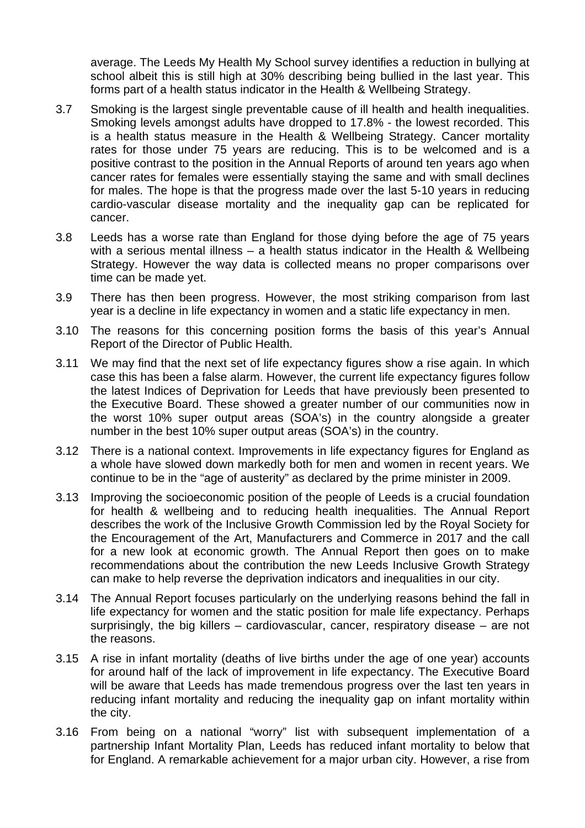average. The Leeds My Health My School survey identifies a reduction in bullying at school albeit this is still high at 30% describing being bullied in the last year. This forms part of a health status indicator in the Health & Wellbeing Strategy.

- 3.7 Smoking is the largest single preventable cause of ill health and health inequalities. Smoking levels amongst adults have dropped to 17.8% - the lowest recorded. This is a health status measure in the Health & Wellbeing Strategy. Cancer mortality rates for those under 75 years are reducing. This is to be welcomed and is a positive contrast to the position in the Annual Reports of around ten years ago when cancer rates for females were essentially staying the same and with small declines for males. The hope is that the progress made over the last 5-10 years in reducing cardio-vascular disease mortality and the inequality gap can be replicated for cancer.
- 3.8 Leeds has a worse rate than England for those dying before the age of 75 years with a serious mental illness – a health status indicator in the Health & Wellbeing Strategy. However the way data is collected means no proper comparisons over time can be made yet.
- 3.9 There has then been progress. However, the most striking comparison from last year is a decline in life expectancy in women and a static life expectancy in men.
- 3.10 The reasons for this concerning position forms the basis of this year's Annual Report of the Director of Public Health.
- 3.11 We may find that the next set of life expectancy figures show a rise again. In which case this has been a false alarm. However, the current life expectancy figures follow the latest Indices of Deprivation for Leeds that have previously been presented to the Executive Board. These showed a greater number of our communities now in the worst 10% super output areas (SOA's) in the country alongside a greater number in the best 10% super output areas (SOA's) in the country.
- 3.12 There is a national context. Improvements in life expectancy figures for England as a whole have slowed down markedly both for men and women in recent years. We continue to be in the "age of austerity" as declared by the prime minister in 2009.
- 3.13 Improving the socioeconomic position of the people of Leeds is a crucial foundation for health & wellbeing and to reducing health inequalities. The Annual Report describes the work of the Inclusive Growth Commission led by the Royal Society for the Encouragement of the Art, Manufacturers and Commerce in 2017 and the call for a new look at economic growth. The Annual Report then goes on to make recommendations about the contribution the new Leeds Inclusive Growth Strategy can make to help reverse the deprivation indicators and inequalities in our city.
- 3.14 The Annual Report focuses particularly on the underlying reasons behind the fall in life expectancy for women and the static position for male life expectancy. Perhaps surprisingly, the big killers – cardiovascular, cancer, respiratory disease – are not the reasons.
- 3.15 A rise in infant mortality (deaths of live births under the age of one year) accounts for around half of the lack of improvement in life expectancy. The Executive Board will be aware that Leeds has made tremendous progress over the last ten years in reducing infant mortality and reducing the inequality gap on infant mortality within the city.
- 3.16 From being on a national "worry" list with subsequent implementation of a partnership Infant Mortality Plan, Leeds has reduced infant mortality to below that for England. A remarkable achievement for a major urban city. However, a rise from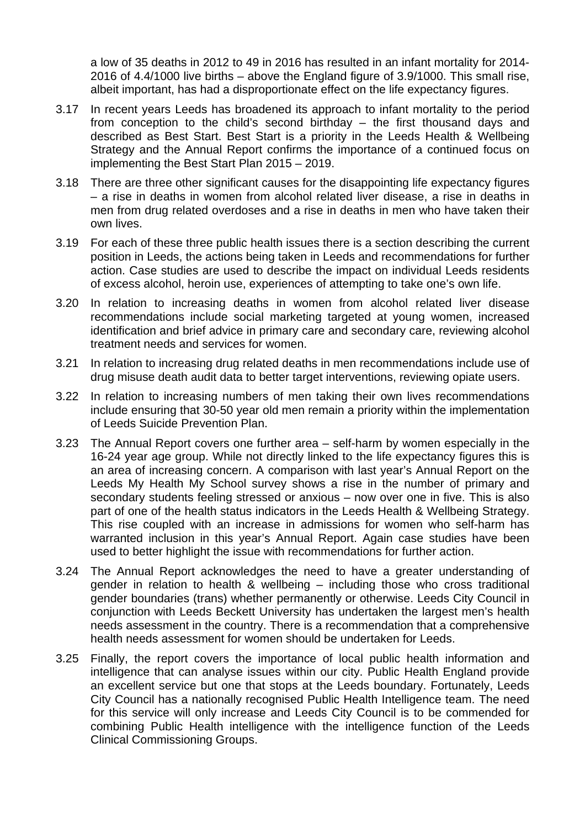a low of 35 deaths in 2012 to 49 in 2016 has resulted in an infant mortality for 2014- 2016 of 4.4/1000 live births – above the England figure of 3.9/1000. This small rise, albeit important, has had a disproportionate effect on the life expectancy figures.

- 3.17 In recent years Leeds has broadened its approach to infant mortality to the period from conception to the child's second birthday – the first thousand days and described as Best Start. Best Start is a priority in the Leeds Health & Wellbeing Strategy and the Annual Report confirms the importance of a continued focus on implementing the Best Start Plan 2015 – 2019.
- 3.18 There are three other significant causes for the disappointing life expectancy figures – a rise in deaths in women from alcohol related liver disease, a rise in deaths in men from drug related overdoses and a rise in deaths in men who have taken their own lives.
- 3.19 For each of these three public health issues there is a section describing the current position in Leeds, the actions being taken in Leeds and recommendations for further action. Case studies are used to describe the impact on individual Leeds residents of excess alcohol, heroin use, experiences of attempting to take one's own life.
- 3.20 In relation to increasing deaths in women from alcohol related liver disease recommendations include social marketing targeted at young women, increased identification and brief advice in primary care and secondary care, reviewing alcohol treatment needs and services for women.
- 3.21 In relation to increasing drug related deaths in men recommendations include use of drug misuse death audit data to better target interventions, reviewing opiate users.
- 3.22 In relation to increasing numbers of men taking their own lives recommendations include ensuring that 30-50 year old men remain a priority within the implementation of Leeds Suicide Prevention Plan.
- 3.23 The Annual Report covers one further area self-harm by women especially in the 16-24 year age group. While not directly linked to the life expectancy figures this is an area of increasing concern. A comparison with last year's Annual Report on the Leeds My Health My School survey shows a rise in the number of primary and secondary students feeling stressed or anxious – now over one in five. This is also part of one of the health status indicators in the Leeds Health & Wellbeing Strategy. This rise coupled with an increase in admissions for women who self-harm has warranted inclusion in this year's Annual Report. Again case studies have been used to better highlight the issue with recommendations for further action.
- 3.24 The Annual Report acknowledges the need to have a greater understanding of gender in relation to health & wellbeing – including those who cross traditional gender boundaries (trans) whether permanently or otherwise. Leeds City Council in conjunction with Leeds Beckett University has undertaken the largest men's health needs assessment in the country. There is a recommendation that a comprehensive health needs assessment for women should be undertaken for Leeds.
- 3.25 Finally, the report covers the importance of local public health information and intelligence that can analyse issues within our city. Public Health England provide an excellent service but one that stops at the Leeds boundary. Fortunately, Leeds City Council has a nationally recognised Public Health Intelligence team. The need for this service will only increase and Leeds City Council is to be commended for combining Public Health intelligence with the intelligence function of the Leeds Clinical Commissioning Groups.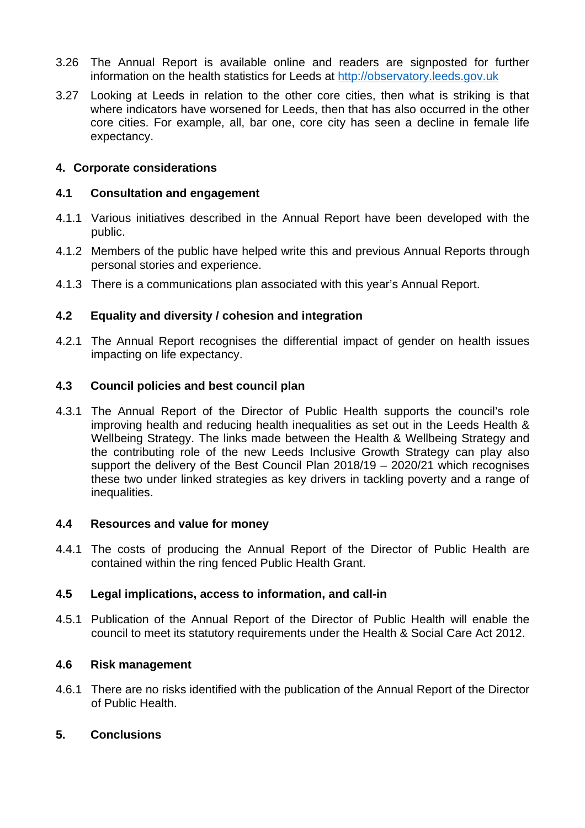- 3.26 The Annual Report is available online and readers are signposted for further information on the health statistics for Leeds at http://observatory.leeds.gov.uk
- 3.27 Looking at Leeds in relation to the other core cities, then what is striking is that where indicators have worsened for Leeds, then that has also occurred in the other core cities. For example, all, bar one, core city has seen a decline in female life expectancy.

### **4. Corporate considerations**

### **4.1 Consultation and engagement**

- 4.1.1 Various initiatives described in the Annual Report have been developed with the public.
- 4.1.2 Members of the public have helped write this and previous Annual Reports through personal stories and experience.
- 4.1.3 There is a communications plan associated with this year's Annual Report.

## **4.2 Equality and diversity / cohesion and integration**

4.2.1 The Annual Report recognises the differential impact of gender on health issues impacting on life expectancy.

## **4.3 Council policies and best council plan**

4.3.1 The Annual Report of the Director of Public Health supports the council's role improving health and reducing health inequalities as set out in the Leeds Health & Wellbeing Strategy. The links made between the Health & Wellbeing Strategy and the contributing role of the new Leeds Inclusive Growth Strategy can play also support the delivery of the Best Council Plan 2018/19 – 2020/21 which recognises these two under linked strategies as key drivers in tackling poverty and a range of inequalities.

### **4.4 Resources and value for money**

4.4.1 The costs of producing the Annual Report of the Director of Public Health are contained within the ring fenced Public Health Grant.

### **4.5 Legal implications, access to information, and call-in**

4.5.1 Publication of the Annual Report of the Director of Public Health will enable the council to meet its statutory requirements under the Health & Social Care Act 2012.

### **4.6 Risk management**

4.6.1 There are no risks identified with the publication of the Annual Report of the Director of Public Health.

# **5. Conclusions**